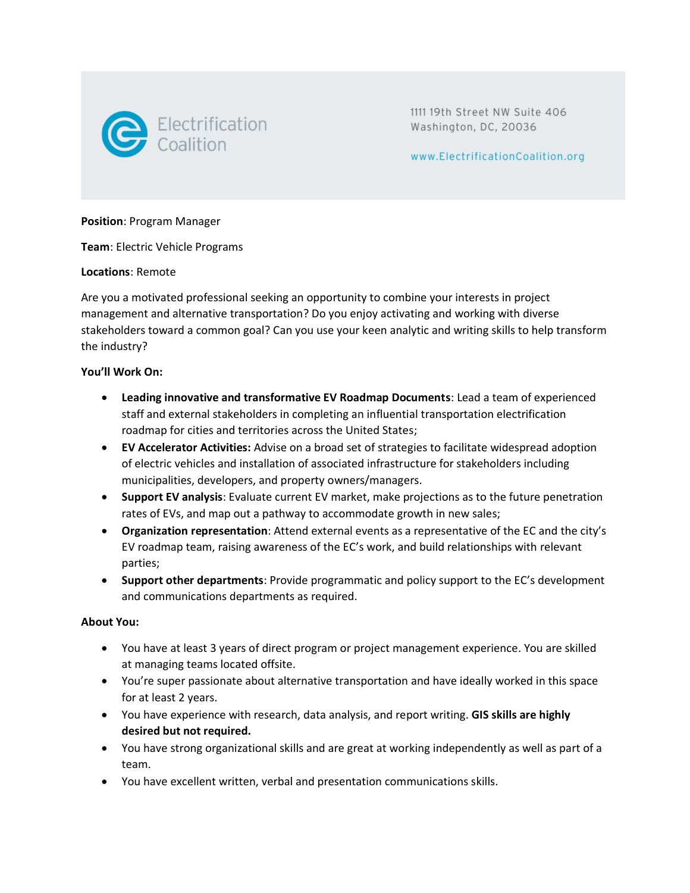

1111 19th Street NW Suite 406 Washington, DC, 20036

www.ElectrificationCoalition.org

**Position**: Program Manager

**Team**: Electric Vehicle Programs

**Locations**: Remote

Are you a motivated professional seeking an opportunity to combine your interests in project management and alternative transportation? Do you enjoy activating and working with diverse stakeholders toward a common goal? Can you use your keen analytic and writing skills to help transform the industry?

### **You'll Work On:**

- **Leading innovative and transformative EV Roadmap Documents**: Lead a team of experienced staff and external stakeholders in completing an influential transportation electrification roadmap for cities and territories across the United States;
- **EV Accelerator Activities:** Advise on a broad set of strategies to facilitate widespread adoption of electric vehicles and installation of associated infrastructure for stakeholders including municipalities, developers, and property owners/managers.
- **Support EV analysis**: Evaluate current EV market, make projections as to the future penetration rates of EVs, and map out a pathway to accommodate growth in new sales;
- **Organization representation**: Attend external events as a representative of the EC and the city's EV roadmap team, raising awareness of the EC's work, and build relationships with relevant parties;
- **Support other departments**: Provide programmatic and policy support to the EC's development and communications departments as required.

### **About You:**

- You have at least 3 years of direct program or project management experience. You are skilled at managing teams located offsite.
- You're super passionate about alternative transportation and have ideally worked in this space for at least 2 years.
- You have experience with research, data analysis, and report writing. **GIS skills are highly desired but not required.**
- You have strong organizational skills and are great at working independently as well as part of a team.
- You have excellent written, verbal and presentation communications skills.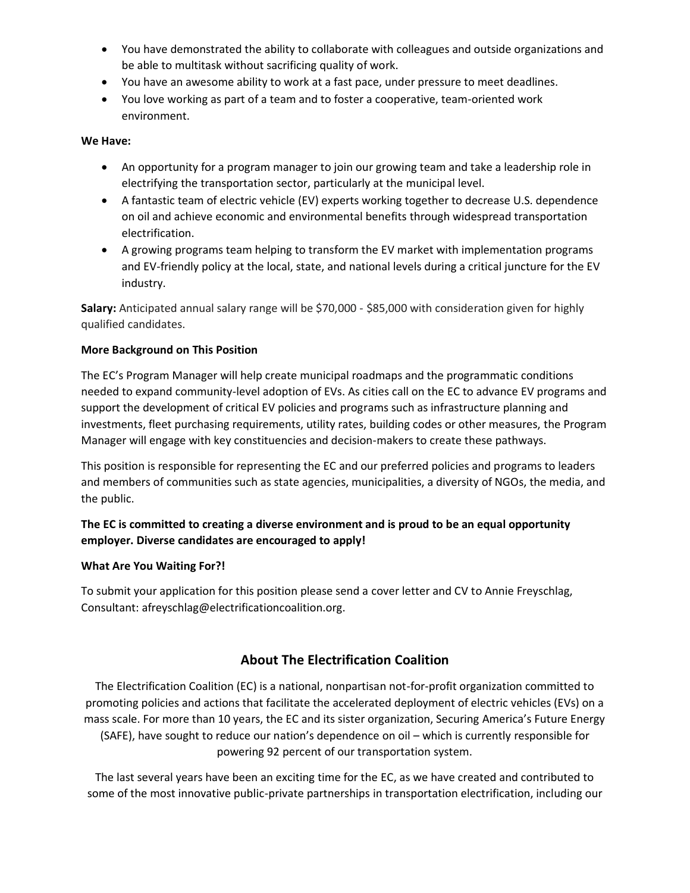- You have demonstrated the ability to collaborate with colleagues and outside organizations and be able to multitask without sacrificing quality of work.
- You have an awesome ability to work at a fast pace, under pressure to meet deadlines.
- You love working as part of a team and to foster a cooperative, team-oriented work environment.

## **We Have:**

- An opportunity for a program manager to join our growing team and take a leadership role in electrifying the transportation sector, particularly at the municipal level.
- A fantastic team of electric vehicle (EV) experts working together to decrease U.S. dependence on oil and achieve economic and environmental benefits through widespread transportation electrification.
- A growing programs team helping to transform the EV market with implementation programs and EV-friendly policy at the local, state, and national levels during a critical juncture for the EV industry.

**Salary:** Anticipated annual salary range will be \$70,000 - \$85,000 with consideration given for highly qualified candidates.

# **More Background on This Position**

The EC's Program Manager will help create municipal roadmaps and the programmatic conditions needed to expand community-level adoption of EVs. As cities call on the EC to advance EV programs and support the development of critical EV policies and programs such as infrastructure planning and investments, fleet purchasing requirements, utility rates, building codes or other measures, the Program Manager will engage with key constituencies and decision-makers to create these pathways.

This position is responsible for representing the EC and our preferred policies and programs to leaders and members of communities such as state agencies, municipalities, a diversity of NGOs, the media, and the public.

# **The EC is committed to creating a diverse environment and is proud to be an equal opportunity employer. Diverse candidates are encouraged to apply!**

### **What Are You Waiting For?!**

To submit your application for this position please send a cover letter and CV to Annie Freyschlag, Consultant: afreyschlag@electrificationcoalition.org.

# **About The Electrification Coalition**

The Electrification Coalition (EC) is a national, nonpartisan not-for-profit organization committed to promoting policies and actions that facilitate the accelerated deployment of electric vehicles (EVs) on a mass scale. For more than 10 years, the EC and its sister organization, Securing America's Future Energy (SAFE), have sought to reduce our nation's dependence on oil – which is currently responsible for powering 92 percent of our transportation system.

The last several years have been an exciting time for the EC, as we have created and contributed to some of the most innovative public-private partnerships in transportation electrification, including our